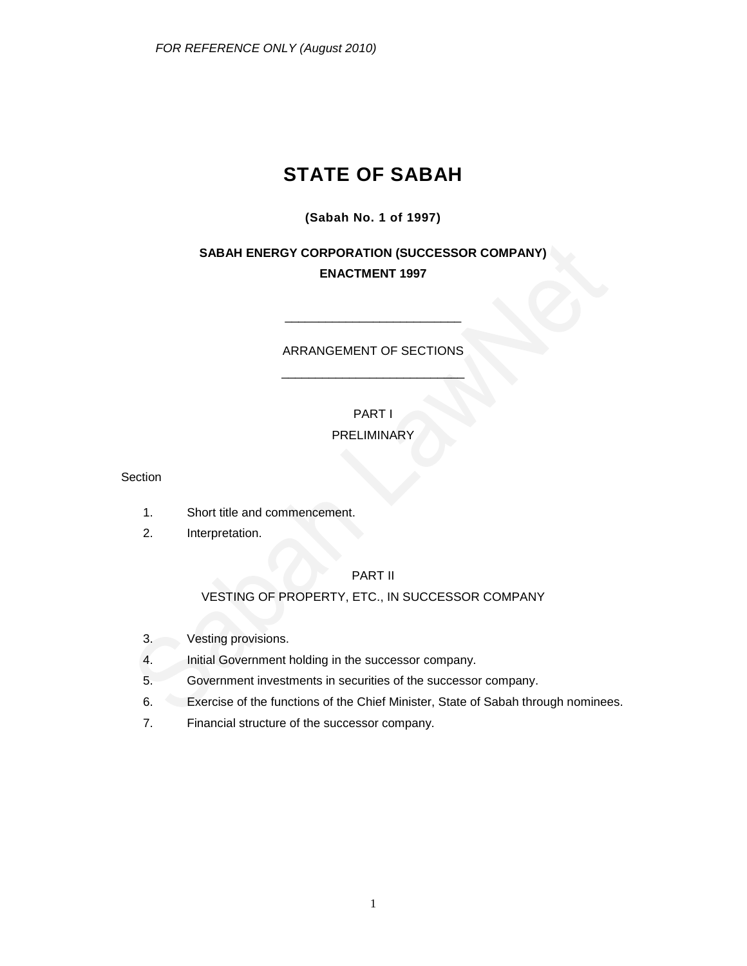# **STATE OF SABAH**

## **(Sabah No. 1 of 1997)**

# **SABAH ENERGY CORPORATION (SUCCESSOR COMPANY) ENACTMENT 1997**

## ARRANGEMENT OF SECTIONS \_\_\_\_\_\_\_\_\_\_\_\_\_\_\_\_\_\_\_\_\_\_\_\_\_\_\_

\_\_\_\_\_\_\_\_\_\_\_\_\_\_\_\_\_\_\_\_\_\_\_\_\_\_

## PART I

## PRELIMINARY

Section

- 1. Short title and commencement.
- 2. Interpretation.

## PART II

## VESTING OF PROPERTY, ETC., IN SUCCESSOR COMPANY

- 3. Vesting provisions.
- 4. Initial Government holding in the successor company.
- 5. Government investments in securities of the successor company.
- 6. Exercise of the functions of the Chief Minister, State of Sabah through nominees.
- 7. Financial structure of the successor company.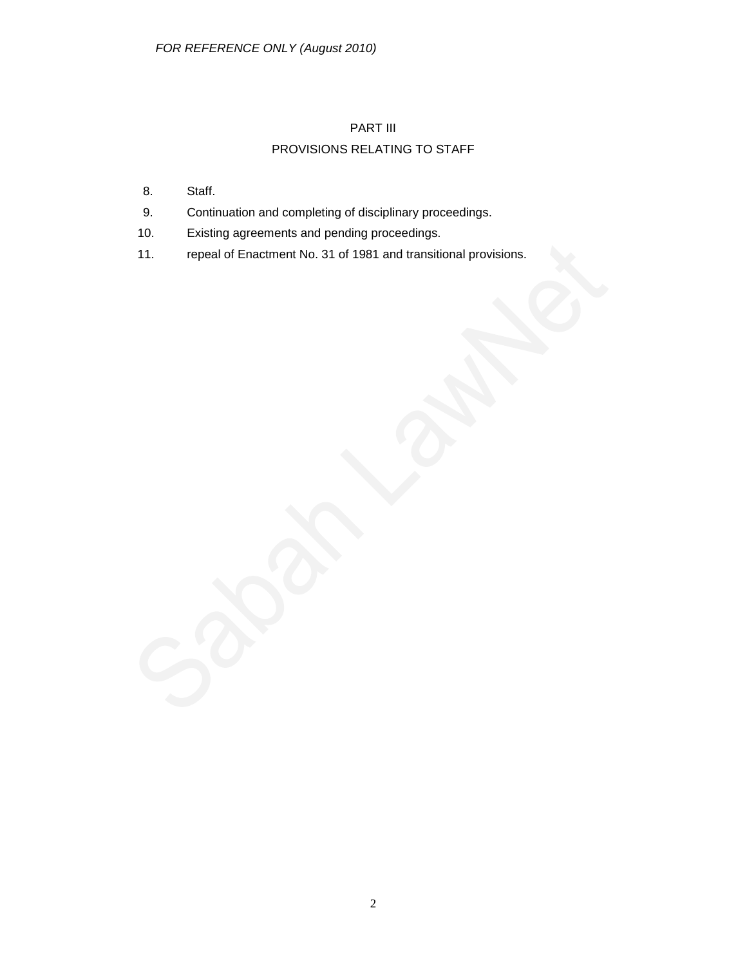# PART III

# PROVISIONS RELATING TO STAFF

- 8. Staff.
- 9. Continuation and completing of disciplinary proceedings.
- 10. Existing agreements and pending proceedings.
- 11. repeal of Enactment No. 31 of 1981 and transitional provisions.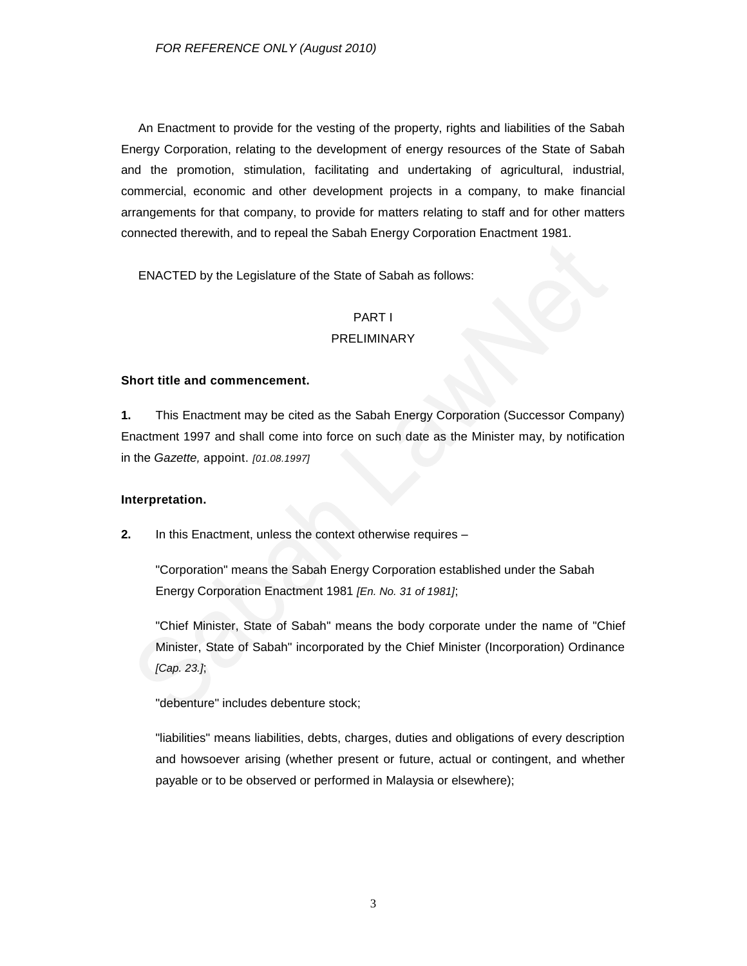An Enactment to provide for the vesting of the property, rights and liabilities of the Sabah Energy Corporation, relating to the development of energy resources of the State of Sabah and the promotion, stimulation, facilitating and undertaking of agricultural, industrial, commercial, economic and other development projects in a company, to make financial arrangements for that company, to provide for matters relating to staff and for other matters connected therewith, and to repeal the Sabah Energy Corporation Enactment 1981.

ENACTED by the Legislature of the State of Sabah as follows:

## PART I

### PRELIMINARY

#### **Short title and commencement.**

**1.** This Enactment may be cited as the Sabah Energy Corporation (Successor Company) Enactment 1997 and shall come into force on such date as the Minister may, by notification in the *Gazette,* appoint. *[01.08.1997]*

#### **Interpretation.**

**2.** In this Enactment, unless the context otherwise requires –

"Corporation" means the Sabah Energy Corporation established under the Sabah Energy Corporation Enactment 1981 *[En. No. 31 of 1981]*;

"Chief Minister, State of Sabah" means the body corporate under the name of "Chief Minister, State of Sabah" incorporated by the Chief Minister (Incorporation) Ordinance *[Cap. 23.]*;

"debenture" includes debenture stock;

"liabilities" means liabilities, debts, charges, duties and obligations of every description and howsoever arising (whether present or future, actual or contingent, and whether payable or to be observed or performed in Malaysia or elsewhere);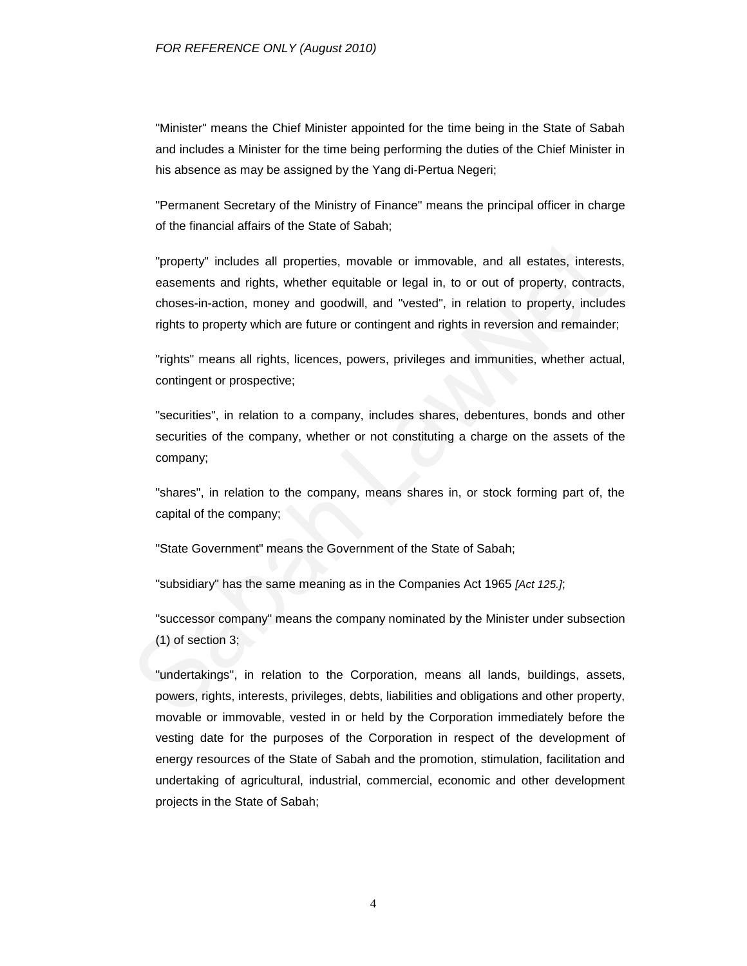"Minister" means the Chief Minister appointed for the time being in the State of Sabah and includes a Minister for the time being performing the duties of the Chief Minister in his absence as may be assigned by the Yang di-Pertua Negeri;

"Permanent Secretary of the Ministry of Finance" means the principal officer in charge of the financial affairs of the State of Sabah;

"property" includes all properties, movable or immovable, and all estates, interests, easements and rights, whether equitable or legal in, to or out of property, contracts, choses-in-action, money and goodwill, and "vested", in relation to property, includes rights to property which are future or contingent and rights in reversion and remainder;

"rights" means all rights, licences, powers, privileges and immunities, whether actual, contingent or prospective;

"securities", in relation to a company, includes shares, debentures, bonds and other securities of the company, whether or not constituting a charge on the assets of the company;

"shares", in relation to the company, means shares in, or stock forming part of, the capital of the company;

"State Government" means the Government of the State of Sabah;

"subsidiary" has the same meaning as in the Companies Act 1965 *[Act 125.]*;

"successor company" means the company nominated by the Minister under subsection (1) of section 3;

"undertakings", in relation to the Corporation, means all lands, buildings, assets, powers, rights, interests, privileges, debts, liabilities and obligations and other property, movable or immovable, vested in or held by the Corporation immediately before the vesting date for the purposes of the Corporation in respect of the development of energy resources of the State of Sabah and the promotion, stimulation, facilitation and undertaking of agricultural, industrial, commercial, economic and other development projects in the State of Sabah;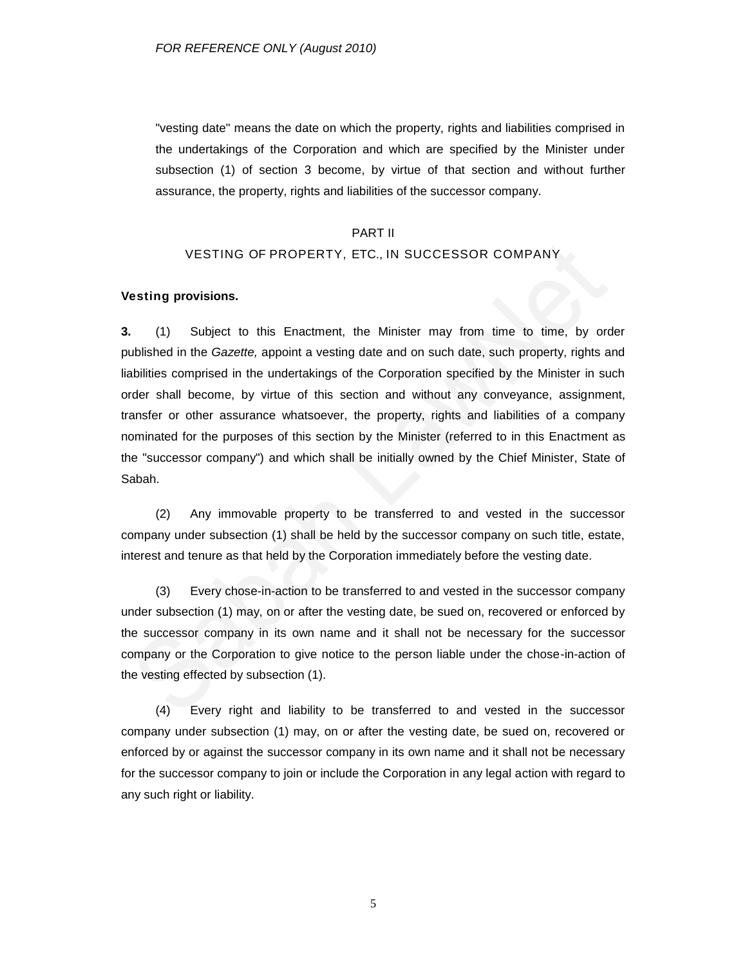"vesting date" means the date on which the property, rights and liabilities comprised in the undertakings of the Corporation and which are specified by the Minister under subsection (1) of section 3 become, by virtue of that section and without further assurance, the property, rights and liabilities of the successor company.

#### PART II

#### VESTING OF PROPERTY, ETC., IN SUCCESSOR COMPANY

#### **Vesting provisions.**

**3.** (1) Subject to this Enactment, the Minister may from time to time, by order published in the *Gazette,* appoint a vesting date and on such date, such property, rights and liabilities comprised in the undertakings of the Corporation specified by the Minister in such order shall become, by virtue of this section and without any conveyance, assignment, transfer or other assurance whatsoever, the property, rights and liabilities of a company nominated for the purposes of this section by the Minister (referred to in this Enactment as the "successor company") and which shall be initially owned by the Chief Minister, State of Sabah.

(2) Any immovable property to be transferred to and vested in the successor company under subsection (1) shall be held by the successor company on such title, estate, interest and tenure as that held by the Corporation immediately before the vesting date.

(3) Every chose-in-action to be transferred to and vested in the successor company under subsection (1) may, on or after the vesting date, be sued on, recovered or enforced by the successor company in its own name and it shall not be necessary for the successor company or the Corporation to give notice to the person liable under the chose-in-action of the vesting effected by subsection (1).

(4) Every right and liability to be transferred to and vested in the successor company under subsection (1) may, on or after the vesting date, be sued on, recovered or enforced by or against the successor company in its own name and it shall not be necessary for the successor company to join or include the Corporation in any legal action with regard to any such right or liability.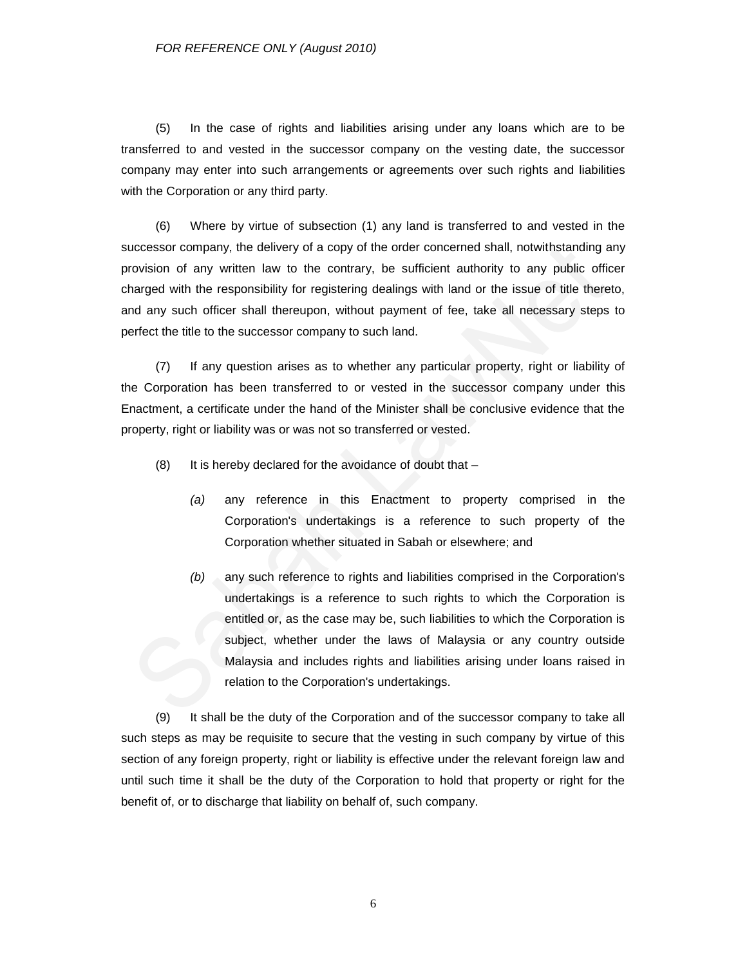(5) In the case of rights and liabilities arising under any loans which are to be transferred to and vested in the successor company on the vesting date, the successor company may enter into such arrangements or agreements over such rights and liabilities with the Corporation or any third party.

(6) Where by virtue of subsection (1) any land is transferred to and vested in the successor company, the delivery of a copy of the order concerned shall, notwithstanding any provision of any written law to the contrary, be sufficient authority to any public officer charged with the responsibility for registering dealings with land or the issue of title thereto, and any such officer shall thereupon, without payment of fee, take all necessary steps to perfect the title to the successor company to such land.

(7) If any question arises as to whether any particular property, right or liability of the Corporation has been transferred to or vested in the successor company under this Enactment, a certificate under the hand of the Minister shall be conclusive evidence that the property, right or liability was or was not so transferred or vested.

- $(8)$  It is hereby declared for the avoidance of doubt that  $-$ 
	- *(a)* any reference in this Enactment to property comprised in the Corporation's undertakings is a reference to such property of the Corporation whether situated in Sabah or elsewhere; and
	- *(b)* any such reference to rights and liabilities comprised in the Corporation's undertakings is a reference to such rights to which the Corporation is entitled or, as the case may be, such liabilities to which the Corporation is subject, whether under the laws of Malaysia or any country outside Malaysia and includes rights and liabilities arising under loans raised in relation to the Corporation's undertakings.

(9) It shall be the duty of the Corporation and of the successor company to take all such steps as may be requisite to secure that the vesting in such company by virtue of this section of any foreign property, right or liability is effective under the relevant foreign law and until such time it shall be the duty of the Corporation to hold that property or right for the benefit of, or to discharge that liability on behalf of, such company.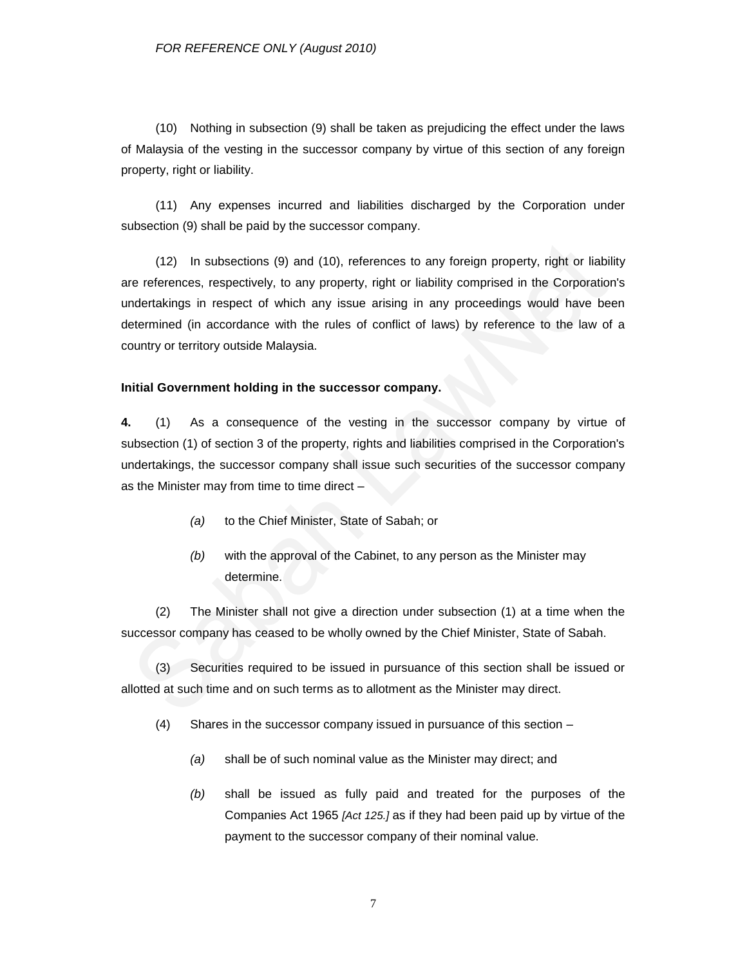(10) Nothing in subsection (9) shall be taken as prejudicing the effect under the laws of Malaysia of the vesting in the successor company by virtue of this section of any foreign property, right or liability.

(11) Any expenses incurred and liabilities discharged by the Corporation under subsection (9) shall be paid by the successor company.

(12) In subsections (9) and (10), references to any foreign property, right or liability are references, respectively, to any property, right or liability comprised in the Corporation's undertakings in respect of which any issue arising in any proceedings would have been determined (in accordance with the rules of conflict of laws) by reference to the law of a country or territory outside Malaysia.

#### **Initial Government holding in the successor company.**

**4.** (1) As a consequence of the vesting in the successor company by virtue of subsection (1) of section 3 of the property, rights and liabilities comprised in the Corporation's undertakings, the successor company shall issue such securities of the successor company as the Minister may from time to time direct –

- *(a)* to the Chief Minister, State of Sabah; or
- *(b)* with the approval of the Cabinet, to any person as the Minister may determine.

(2) The Minister shall not give a direction under subsection (1) at a time when the successor company has ceased to be wholly owned by the Chief Minister, State of Sabah.

(3) Securities required to be issued in pursuance of this section shall be issued or allotted at such time and on such terms as to allotment as the Minister may direct.

- (4) Shares in the successor company issued in pursuance of this section
	- *(a)* shall be of such nominal value as the Minister may direct; and
	- *(b)* shall be issued as fully paid and treated for the purposes of the Companies Act 1965 *[Act 125.]* as if they had been paid up by virtue of the payment to the successor company of their nominal value.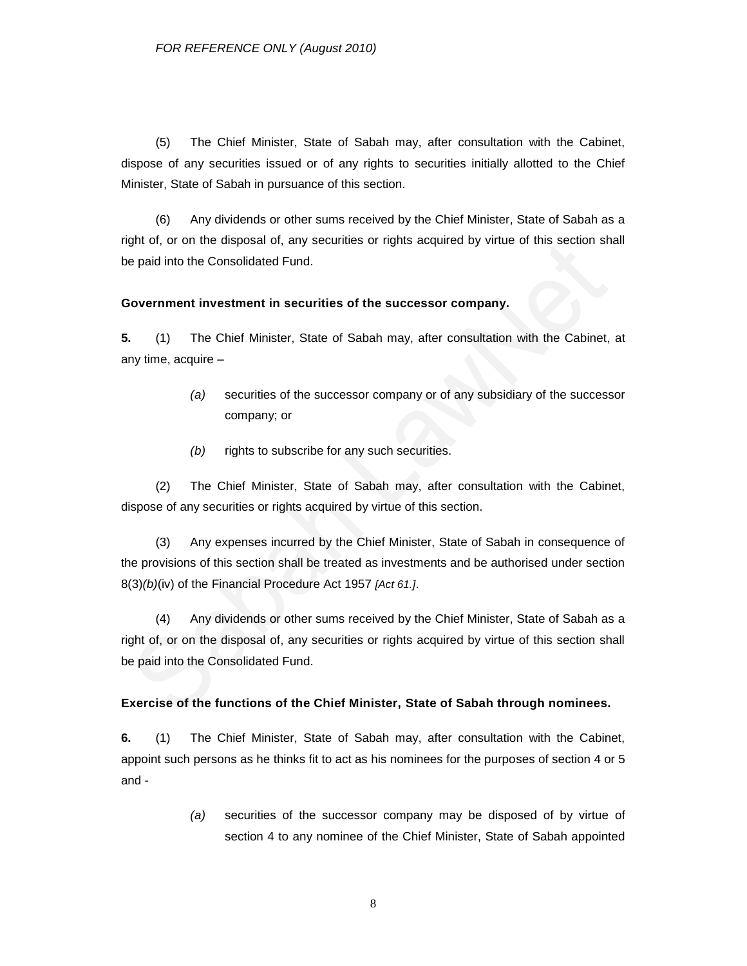(5) The Chief Minister, State of Sabah may, after consultation with the Cabinet, dispose of any securities issued or of any rights to securities initially allotted to the Chief Minister, State of Sabah in pursuance of this section.

(6) Any dividends or other sums received by the Chief Minister, State of Sabah as a right of, or on the disposal of, any securities or rights acquired by virtue of this section shall be paid into the Consolidated Fund.

#### **Government investment in securities of the successor company.**

**5.** (1) The Chief Minister, State of Sabah may, after consultation with the Cabinet, at any time, acquire –

- *(a)* securities of the successor company or of any subsidiary of the successor company; or
- *(b)* rights to subscribe for any such securities.

(2) The Chief Minister, State of Sabah may, after consultation with the Cabinet, dispose of any securities or rights acquired by virtue of this section.

(3) Any expenses incurred by the Chief Minister, State of Sabah in consequence of the provisions of this section shall be treated as investments and be authorised under section 8(3)*(b)*(iv) of the Financial Procedure Act 1957 *[Act 61.]*.

(4) Any dividends or other sums received by the Chief Minister, State of Sabah as a right of, or on the disposal of, any securities or rights acquired by virtue of this section shall be paid into the Consolidated Fund.

#### **Exercise of the functions of the Chief Minister, State of Sabah through nominees.**

**6.** (1) The Chief Minister, State of Sabah may, after consultation with the Cabinet, appoint such persons as he thinks fit to act as his nominees for the purposes of section 4 or 5 and -

> *(a)* securities of the successor company may be disposed of by virtue of section 4 to any nominee of the Chief Minister, State of Sabah appointed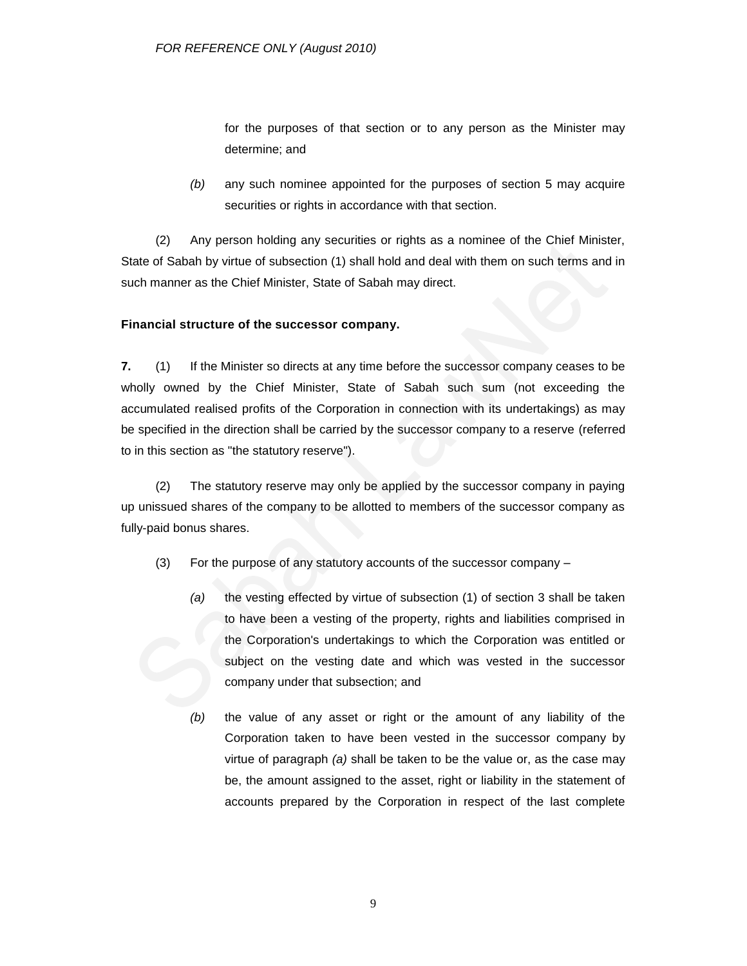for the purposes of that section or to any person as the Minister may determine; and

*(b)* any such nominee appointed for the purposes of section 5 may acquire securities or rights in accordance with that section.

(2) Any person holding any securities or rights as a nominee of the Chief Minister, State of Sabah by virtue of subsection (1) shall hold and deal with them on such terms and in such manner as the Chief Minister, State of Sabah may direct.

## **Financial structure of the successor company.**

**7.** (1) If the Minister so directs at any time before the successor company ceases to be wholly owned by the Chief Minister, State of Sabah such sum (not exceeding the accumulated realised profits of the Corporation in connection with its undertakings) as may be specified in the direction shall be carried by the successor company to a reserve (referred to in this section as "the statutory reserve").

(2) The statutory reserve may only be applied by the successor company in paying up unissued shares of the company to be allotted to members of the successor company as fully-paid bonus shares.

- (3) For the purpose of any statutory accounts of the successor company
	- *(a)* the vesting effected by virtue of subsection (1) of section 3 shall be taken to have been a vesting of the property, rights and liabilities comprised in the Corporation's undertakings to which the Corporation was entitled or subject on the vesting date and which was vested in the successor company under that subsection; and
	- *(b)* the value of any asset or right or the amount of any liability of the Corporation taken to have been vested in the successor company by virtue of paragraph *(a)* shall be taken to be the value or, as the case may be, the amount assigned to the asset, right or liability in the statement of accounts prepared by the Corporation in respect of the last complete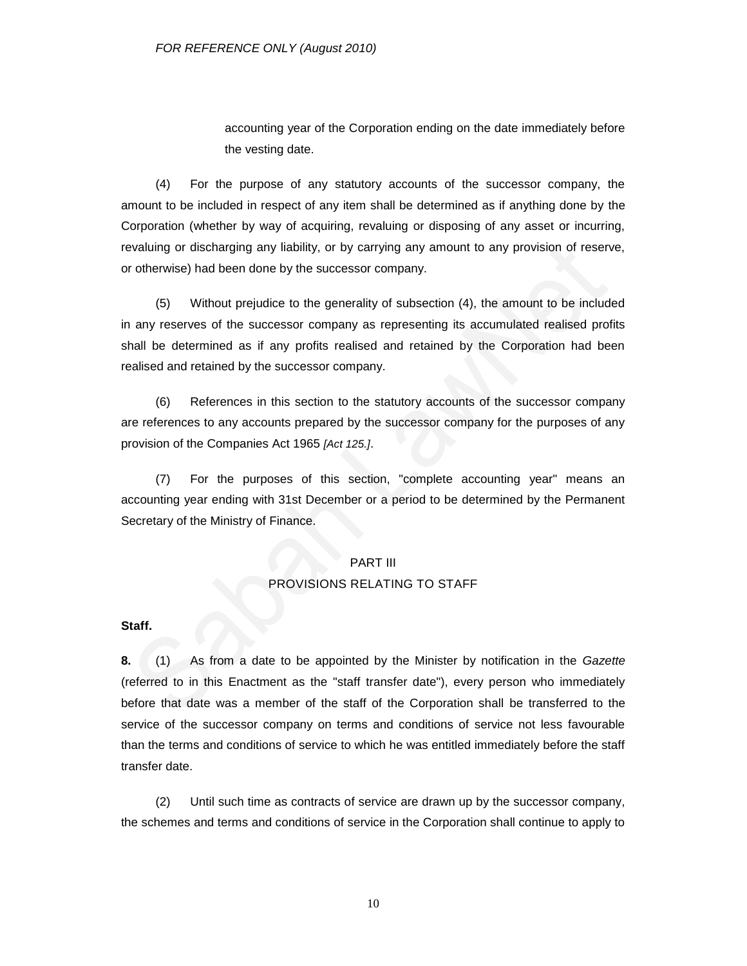accounting year of the Corporation ending on the date immediately before the vesting date.

(4) For the purpose of any statutory accounts of the successor company, the amount to be included in respect of any item shall be determined as if anything done by the Corporation (whether by way of acquiring, revaluing or disposing of any asset or incurring, revaluing or discharging any liability, or by carrying any amount to any provision of reserve, or otherwise) had been done by the successor company.

(5) Without prejudice to the generality of subsection (4), the amount to be included in any reserves of the successor company as representing its accumulated realised profits shall be determined as if any profits realised and retained by the Corporation had been realised and retained by the successor company.

(6) References in this section to the statutory accounts of the successor company are references to any accounts prepared by the successor company for the purposes of any provision of the Companies Act 1965 *[Act 125.]*.

(7) For the purposes of this section, "complete accounting year" means an accounting year ending with 31st December or a period to be determined by the Permanent Secretary of the Ministry of Finance.

## PART III PROVISIONS RELATING TO STAFF

#### **Staff.**

**8.** (1) As from a date to be appointed by the Minister by notification in the *Gazette*  (referred to in this Enactment as the "staff transfer date"), every person who immediately before that date was a member of the staff of the Corporation shall be transferred to the service of the successor company on terms and conditions of service not less favourable than the terms and conditions of service to which he was entitled immediately before the staff transfer date.

(2) Until such time as contracts of service are drawn up by the successor company, the schemes and terms and conditions of service in the Corporation shall continue to apply to

10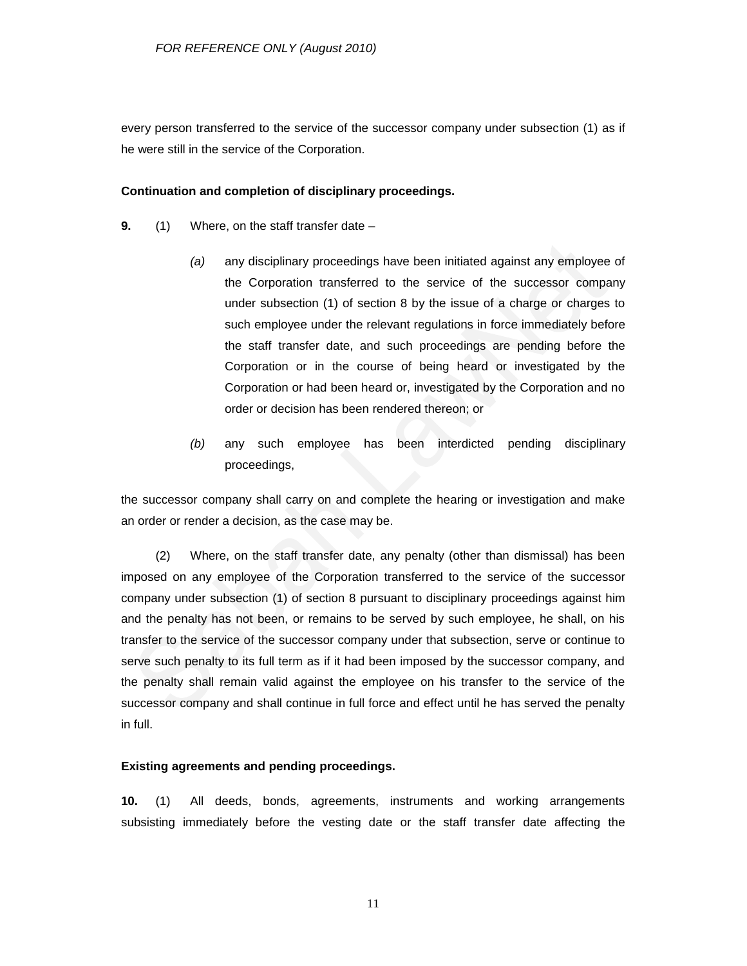every person transferred to the service of the successor company under subsection (1) as if he were still in the service of the Corporation.

### **Continuation and completion of disciplinary proceedings.**

- **9.** (1) Where, on the staff transfer date
	- *(a)* any disciplinary proceedings have been initiated against any employee of the Corporation transferred to the service of the successor company under subsection (1) of section 8 by the issue of a charge or charges to such employee under the relevant regulations in force immediately before the staff transfer date, and such proceedings are pending before the Corporation or in the course of being heard or investigated by the Corporation or had been heard or, investigated by the Corporation and no order or decision has been rendered thereon; or
	- *(b)* any such employee has been interdicted pending disciplinary proceedings,

the successor company shall carry on and complete the hearing or investigation and make an order or render a decision, as the case may be.

(2) Where, on the staff transfer date, any penalty (other than dismissal) has been imposed on any employee of the Corporation transferred to the service of the successor company under subsection (1) of section 8 pursuant to disciplinary proceedings against him and the penalty has not been, or remains to be served by such employee, he shall, on his transfer to the service of the successor company under that subsection, serve or continue to serve such penalty to its full term as if it had been imposed by the successor company, and the penalty shall remain valid against the employee on his transfer to the service of the successor company and shall continue in full force and effect until he has served the penalty in full.

#### **Existing agreements and pending proceedings.**

**10.** (1) All deeds, bonds, agreements, instruments and working arrangements subsisting immediately before the vesting date or the staff transfer date affecting the